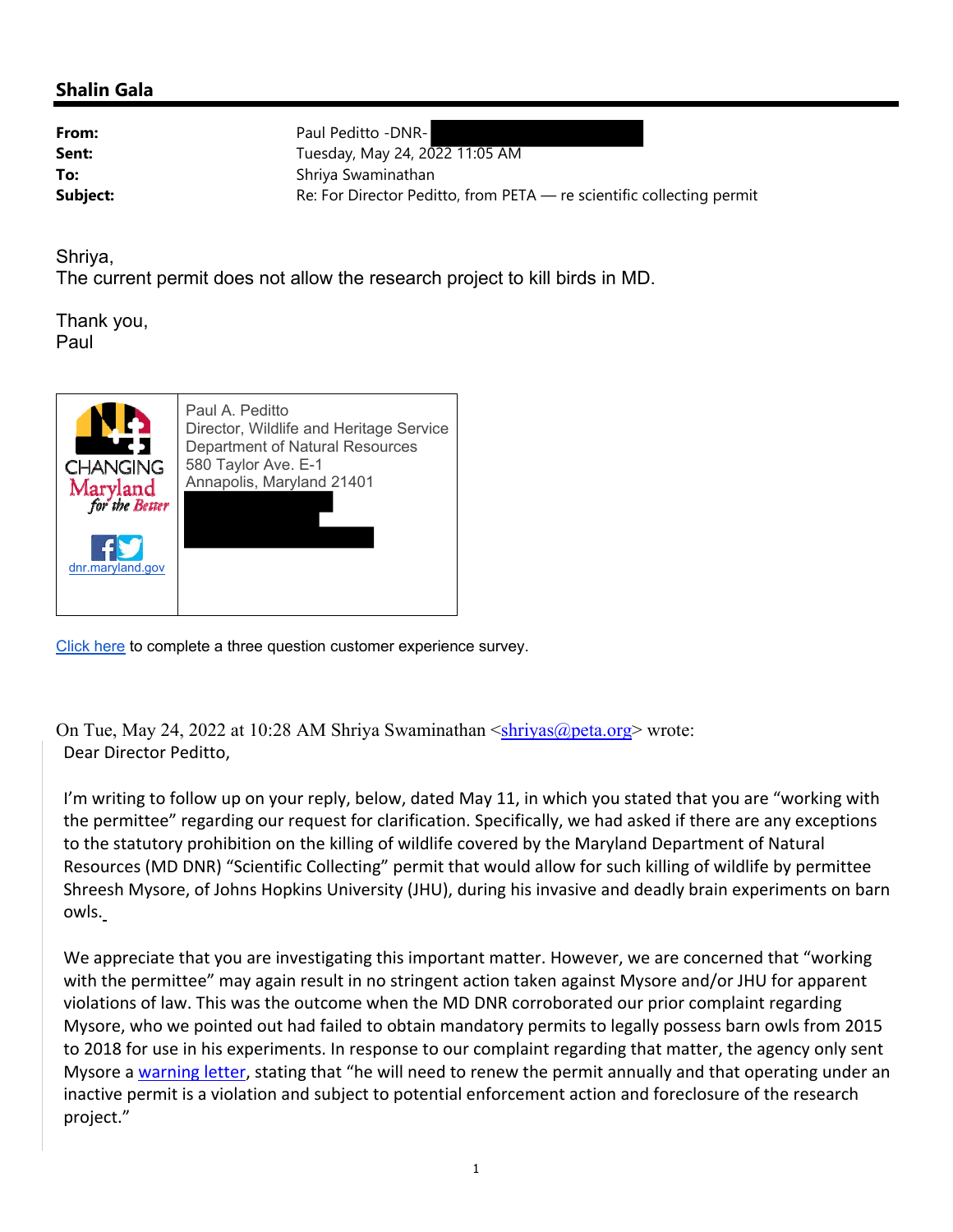## **Shalin Gala**

**From:** Paul Peditto -DNR-**Sent:** Tuesday, May 24, 2022 11:05 AM **To:** Shriya Swaminathan **Subject:** Re: For Director Peditto, from PETA — re scientific collecting permit

Shriya,

The current permit does not allow the research project to kill birds in MD.

Thank you, Paul



Click here to complete a three question customer experience survey.

On Tue, May 24, 2022 at 10:28 AM Shriya Swaminathan  $\langle$ shriyas@peta.org> wrote: Dear Director Peditto,

I'm writing to follow up on your reply, below, dated May 11, in which you stated that you are "working with the permittee" regarding our request for clarification. Specifically, we had asked if there are any exceptions to the statutory prohibition on the killing of wildlife covered by the Maryland Department of Natural Resources (MD DNR) "Scientific Collecting" permit that would allow for such killing of wildlife by permittee Shreesh Mysore, of Johns Hopkins University (JHU), during his invasive and deadly brain experiments on barn owls.

We appreciate that you are investigating this important matter. However, we are concerned that "working with the permittee" may again result in no stringent action taken against Mysore and/or JHU for apparent violations of law. This was the outcome when the MD DNR corroborated our prior complaint regarding Mysore, who we pointed out had failed to obtain mandatory permits to legally possess barn owls from 2015 to 2018 for use in his experiments. In response to our complaint regarding that matter, the agency only sent Mysore a warning letter, stating that "he will need to renew the permit annually and that operating under an inactive permit is a violation and subject to potential enforcement action and foreclosure of the research project."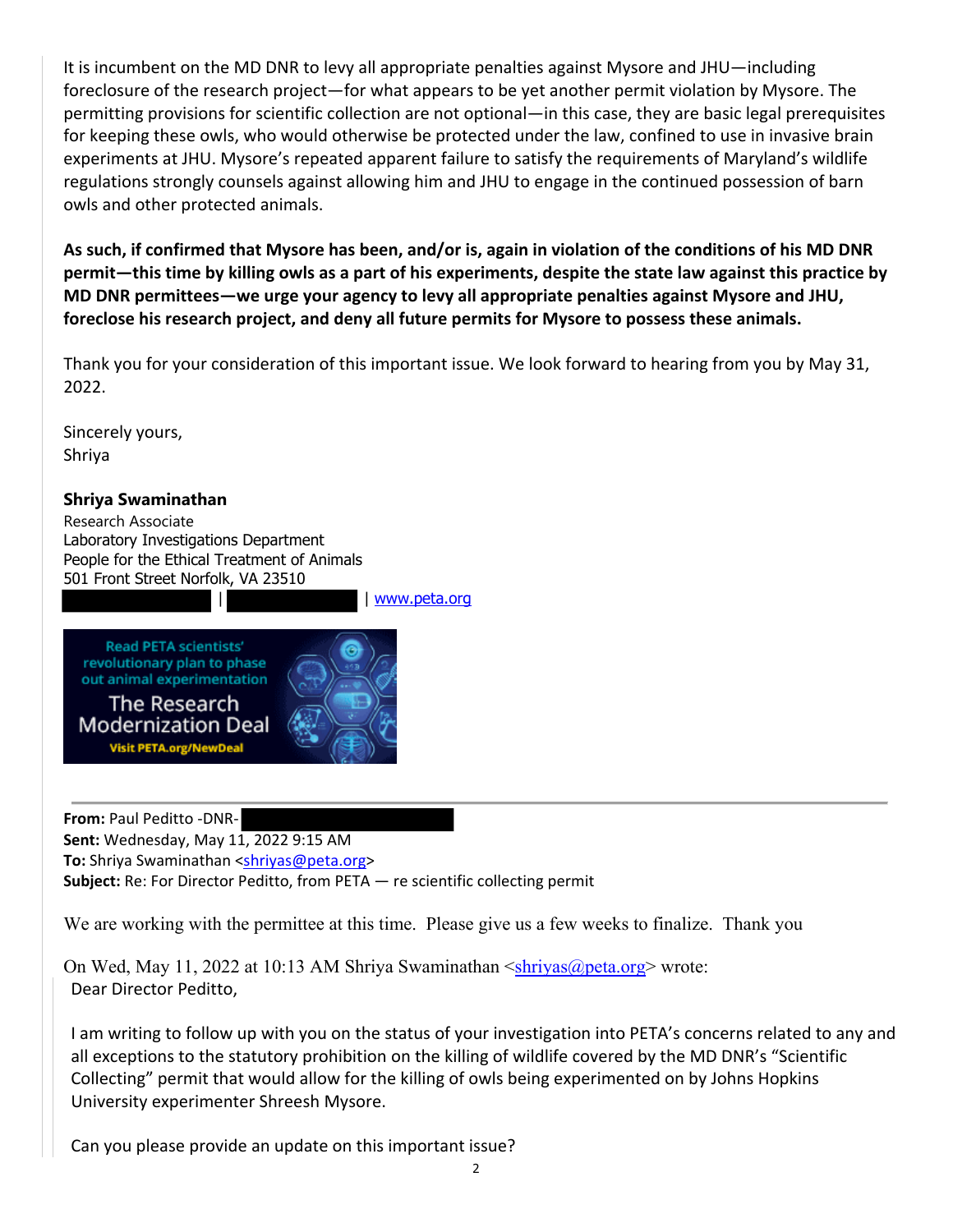It is incumbent on the MD DNR to levy all appropriate penalties against Mysore and JHU—including foreclosure of the research project—for what appears to be yet another permit violation by Mysore. The permitting provisions for scientific collection are not optional—in this case, they are basic legal prerequisites for keeping these owls, who would otherwise be protected under the law, confined to use in invasive brain experiments at JHU. Mysore's repeated apparent failure to satisfy the requirements of Maryland's wildlife regulations strongly counsels against allowing him and JHU to engage in the continued possession of barn owls and other protected animals.

**As such, if confirmed that Mysore has been, and/or is, again in violation of the conditions of his MD DNR permit—this time by killing owls as a part of his experiments, despite the state law against this practice by MD DNR permittees—we urge your agency to levy all appropriate penalties against Mysore and JHU, foreclose his research project, and deny all future permits for Mysore to possess these animals.**

Thank you for your consideration of this important issue. We look forward to hearing from you by May 31, 2022.

Sincerely yours, Shriya

## **Shriya Swaminathan**

Research Associate Laboratory Investigations Department People for the Ethical Treatment of Animals 501 Front Street Norfolk, VA 23510

| www.peta.org



**From:** Paul Peditto ‐DNR‐

**Sent:** Wednesday, May 11, 2022 9:15 AM **To:** Shriya Swaminathan <shriyas@peta.org>

**Subject:** Re: For Director Peditto, from PETA — re scientific collecting permit

We are working with the permittee at this time. Please give us a few weeks to finalize. Thank you

On Wed, May 11, 2022 at 10:13 AM Shriya Swaminathan <shriyas@peta.org> wrote: Dear Director Peditto,

I am writing to follow up with you on the status of your investigation into PETA's concerns related to any and all exceptions to the statutory prohibition on the killing of wildlife covered by the MD DNR's "Scientific Collecting" permit that would allow for the killing of owls being experimented on by Johns Hopkins University experimenter Shreesh Mysore.

Can you please provide an update on this important issue?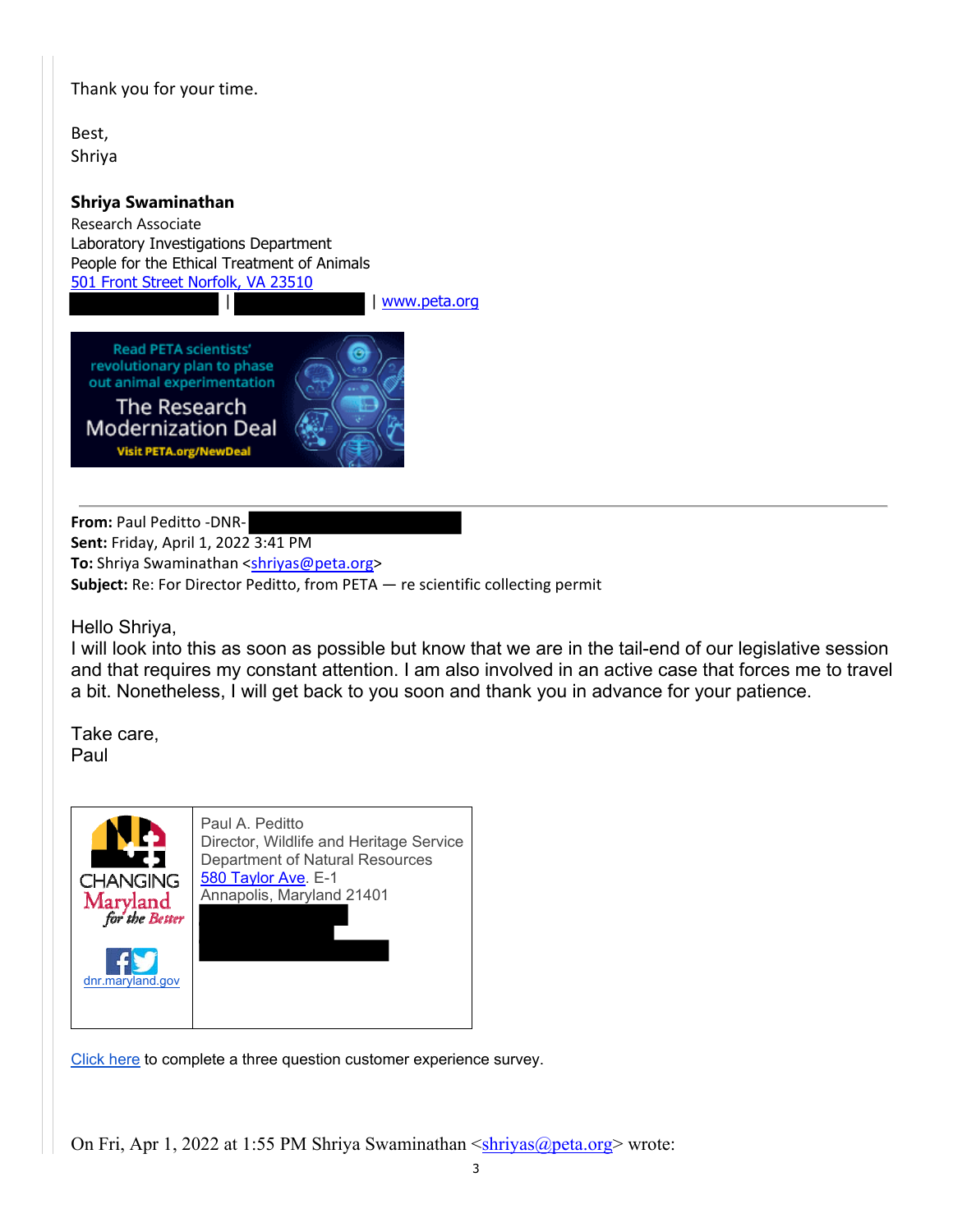Thank you for your time.

Best, Shriya

## **Shriya Swaminathan**

Research Associate Laboratory Investigations Department People for the Ethical Treatment of Animals 501 Front Street Norfolk, VA 23510

| www.peta.org

**Read PETA scientists'** revolutionary plan to phase out animal experimentation

The Research **Modernization Deal Visit PETA.org/NewDeal** 



**From:** Paul Peditto ‐DNR‐ **Sent:** Friday, April 1, 2022 3:41 PM To: Shriya Swaminathan <shriyas@peta.org> **Subject:** Re: For Director Peditto, from PETA — re scientific collecting permit

Hello Shriya,

I will look into this as soon as possible but know that we are in the tail-end of our legislative session and that requires my constant attention. I am also involved in an active case that forces me to travel a bit. Nonetheless, I will get back to you soon and thank you in advance for your patience.

Take care, Paul



Click here to complete a three question customer experience survey.

On Fri, Apr 1, 2022 at 1:55 PM Shriya Swaminathan  $\leq$ shriyas@peta.org> wrote: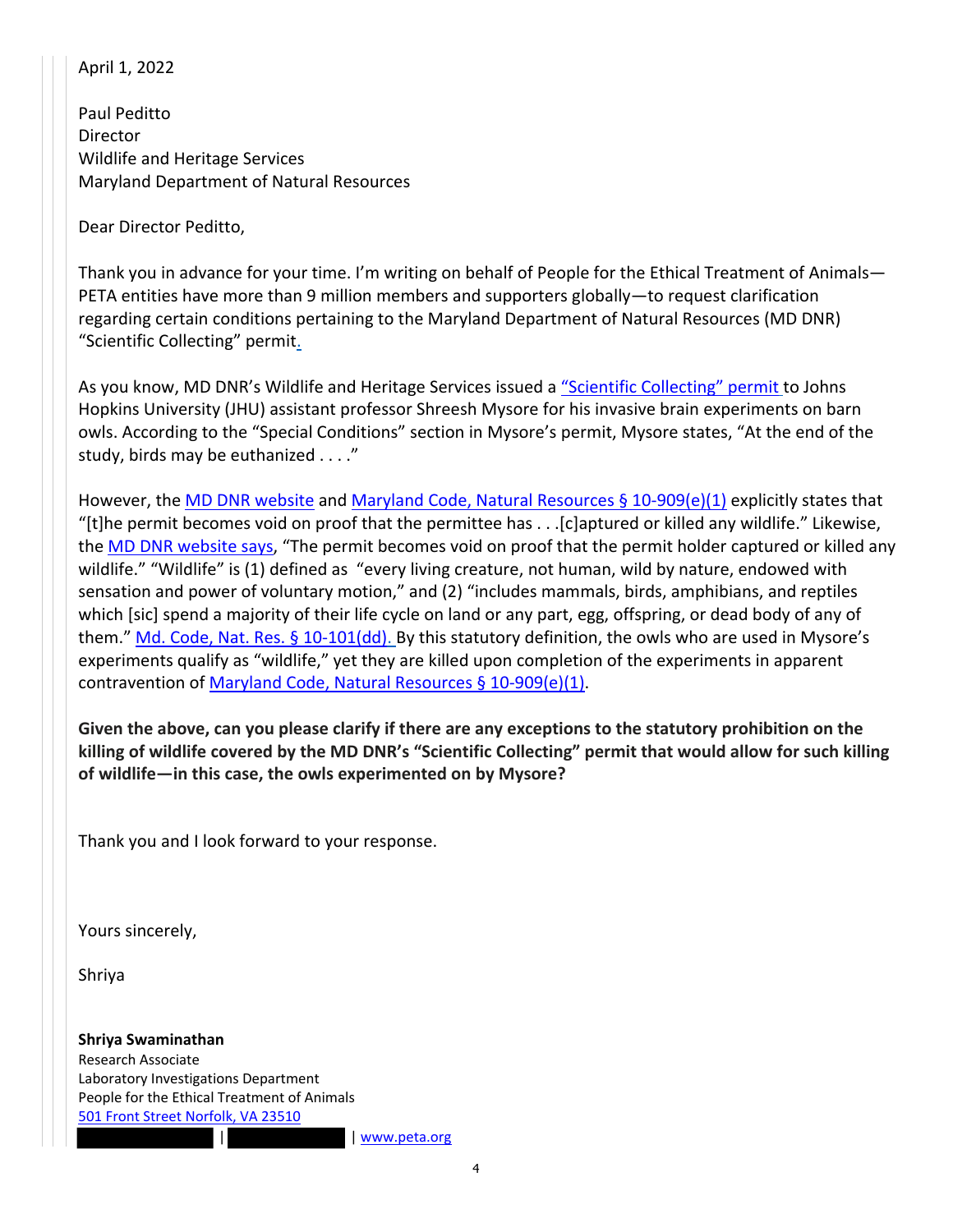## April 1, 2022

Paul Peditto Director Wildlife and Heritage Services Maryland Department of Natural Resources

Dear Director Peditto,

Thank you in advance for your time. I'm writing on behalf of People for the Ethical Treatment of Animals— PETA entities have more than 9 million members and supporters globally—to request clarification regarding certain conditions pertaining to the Maryland Department of Natural Resources (MD DNR) "Scientific Collecting" permit.

As you know, MD DNR's Wildlife and Heritage Services issued a "Scientific Collecting" permit to Johns Hopkins University (JHU) assistant professor Shreesh Mysore for his invasive brain experiments on barn owls. According to the "Special Conditions" section in Mysore's permit, Mysore states, "At the end of the study, birds may be euthanized . . . ."

However, the MD DNR website and Maryland Code, Natural Resources § 10-909(e)(1) explicitly states that "[t]he permit becomes void on proof that the permittee has . . .[c]aptured or killed any wildlife." Likewise, the MD DNR website says, "The permit becomes void on proof that the permit holder captured or killed any wildlife." "Wildlife" is (1) defined as "every living creature, not human, wild by nature, endowed with sensation and power of voluntary motion," and (2) "includes mammals, birds, amphibians, and reptiles which [sic] spend a majority of their life cycle on land or any part, egg, offspring, or dead body of any of them." Md. Code, Nat. Res. § 10-101(dd). By this statutory definition, the owls who are used in Mysore's experiments qualify as "wildlife," yet they are killed upon completion of the experiments in apparent contravention of Maryland Code, Natural Resources § 10‐909(e)(1).

**Given the above, can you please clarify if there are any exceptions to the statutory prohibition on the killing of wildlife covered by the MD DNR's "Scientific Collecting" permit that would allow for such killing of wildlife—in this case, the owls experimented on by Mysore?** 

Thank you and I look forward to your response.

Yours sincerely,

Shriya

**Shriya Swaminathan** Research Associate Laboratory Investigations Department People for the Ethical Treatment of Animals 501 Front Street Norfolk, VA 23510

| www.peta.org